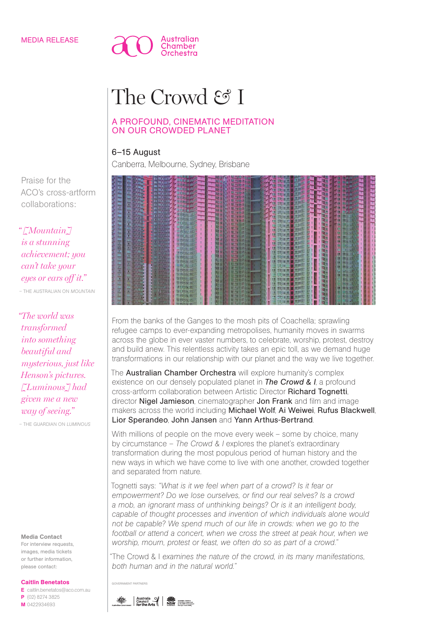### MEDIA RELEASE



# The Crowd & I

## A PROFOUND, CINEMATIC MEDITATION ON OUR CROWDED PLANET

# 6–15 August

Canberra, Melbourne, Sydney, Brisbane



From the banks of the Ganges to the mosh pits of Coachella; sprawling refugee camps to ever-expanding metropolises, humanity moves in swarms across the globe in ever vaster numbers, to celebrate, worship, protest, destroy and build anew. This relentless activity takes an epic toll, as we demand huge transformations in our relationship with our planet and the way we live together.

The **Australian Chamber Orchestra** will explore humanity's complex existence on our densely populated planet in *The Crowd & I*, a profound cross-artform collaboration between Artistic Director Richard Tognetti, director Nigel Jamieson, cinematographer Jon Frank and film and image makers across the world including Michael Wolf, Ai Weiwei, Rufus Blackwell, Lior Sperandeo, John Jansen and Yann Arthus-Bertrand.

With millions of people on the move every week - some by choice, many by circumstance – *The Crowd & I* explores the planet's extraordinary transformation during the most populous period of human history and the new ways in which we have come to live with one another, crowded together and separated from nature.

Tognetti says: *"What is it we feel when part of a crowd? Is it fear or empowerment? Do we lose ourselves, or find our real selves? Is a crowd a mob, an ignorant mass of unthinking beings? Or is it an intelligent body, capable of thought processes and invention of which individuals alone would not be capable? We spend much of our life in crowds: when we go to the*  football or attend a concert, when we cross the street at peak hour, when we *worship, mourn, protest or feast, we often do so as part of a crowd."* 

*"*The Crowd & I *examines the nature of the crowd, in its many manifestations, both human and in the natural world."*

GOVERNMENT PARTNE

Praise for the ACO's cross-artform collaborations:

*" [Mountain] is a stunning achievement; you can't take your eyes or ears off it."* – THE AUSTRALIAN ON *MOUNTAIN*

*"The world was transformed into something beautiful and mysterious, just like Henson's pictures. [Luminous] had given me a new way of seeing."*

– THE GUARDIAN ON *LUMINOUS*

#### Media Contact

For interview requests, images, media tickets or further information, please contact:

#### Caitlin Benetatos

E caitlin.benetatos@aco.com.au P (02) 8274 3825 M 0422934693